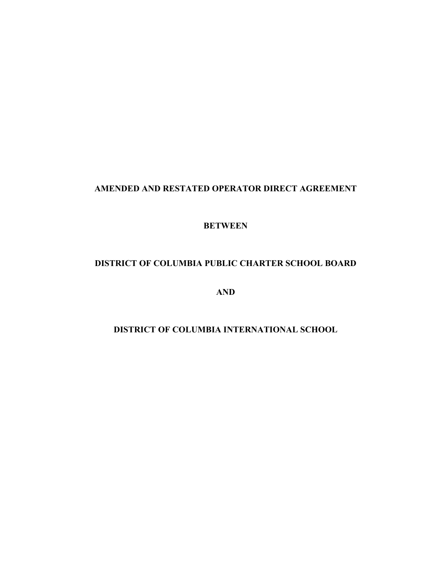## **AMENDED AND RESTATED OPERATOR DIRECT AGREEMENT**

#### **BETWEEN**

# **DISTRICT OF COLUMBIA PUBLIC CHARTER SCHOOL BOARD**

**AND**

# **DISTRICT OF COLUMBIA INTERNATIONAL SCHOOL**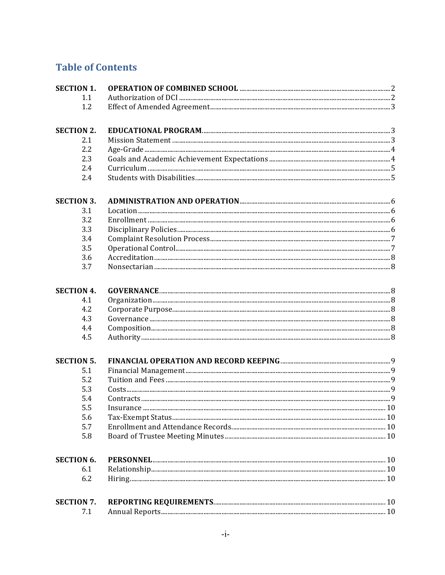# **Table of Contents**

| <b>SECTION 1.</b> |  |
|-------------------|--|
| 1.1               |  |
| 1.2               |  |
| <b>SECTION 2.</b> |  |
| 2.1               |  |
| 2.2               |  |
| 2.3               |  |
| 2.4               |  |
| 2.4               |  |
| <b>SECTION 3.</b> |  |
| 3.1               |  |
| 3.2               |  |
| 3.3               |  |
| 3.4               |  |
| 3.5               |  |
| 3.6               |  |
| 3.7               |  |
| <b>SECTION 4.</b> |  |
| 4.1               |  |
| 4.2               |  |
| 4.3               |  |
| 4.4               |  |
| 4.5               |  |
| <b>SECTION 5.</b> |  |
| 5.1               |  |
| 5.2               |  |
| 5.3               |  |
| 5.4               |  |
| 5.5               |  |
| 5.6               |  |
| 5.7               |  |
| 5.8               |  |
| <b>SECTION 6.</b> |  |
| 6.1               |  |
| 6.2               |  |
| <b>SECTION 7.</b> |  |
| 7.1               |  |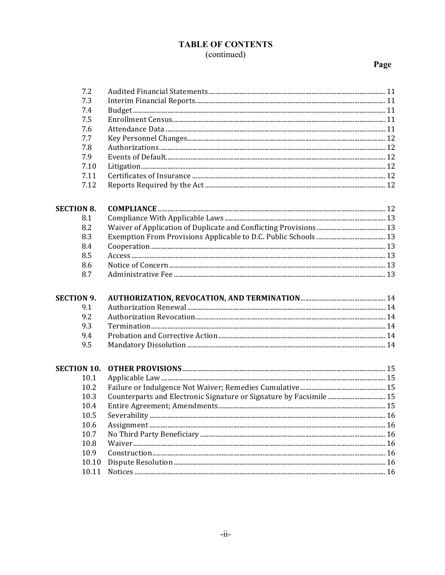# **TABLE OF CONTENTS**

# (continued)

# Page

| 7.2                |                                                                     |  |
|--------------------|---------------------------------------------------------------------|--|
| 7.3                |                                                                     |  |
| 7.4                |                                                                     |  |
| 7.5                |                                                                     |  |
| 7.6                |                                                                     |  |
| 7.7                |                                                                     |  |
| 7.8                |                                                                     |  |
| 7.9                |                                                                     |  |
| 7.10               |                                                                     |  |
| 7.11               |                                                                     |  |
| 7.12               |                                                                     |  |
| <b>SECTION 8.</b>  |                                                                     |  |
| 8.1                |                                                                     |  |
| 8.2                |                                                                     |  |
| 8.3                |                                                                     |  |
| 8.4                |                                                                     |  |
| 8.5                |                                                                     |  |
| 8.6                |                                                                     |  |
| 8.7                |                                                                     |  |
| <b>SECTION 9.</b>  |                                                                     |  |
| 9.1                |                                                                     |  |
| 9.2                |                                                                     |  |
|                    |                                                                     |  |
| 9.3                |                                                                     |  |
| 9.4                |                                                                     |  |
| 9.5                |                                                                     |  |
| <b>SECTION 10.</b> |                                                                     |  |
| 10.1               |                                                                     |  |
| 10.2               |                                                                     |  |
| 10.3               | Counterparts and Electronic Signature or Signature by Facsimile  15 |  |
| 10.4               |                                                                     |  |
| 10.5               |                                                                     |  |
| 10.6               |                                                                     |  |
| 10.7               |                                                                     |  |
| 10.8               |                                                                     |  |
| 10.9               |                                                                     |  |
| 10.10<br>10.11     |                                                                     |  |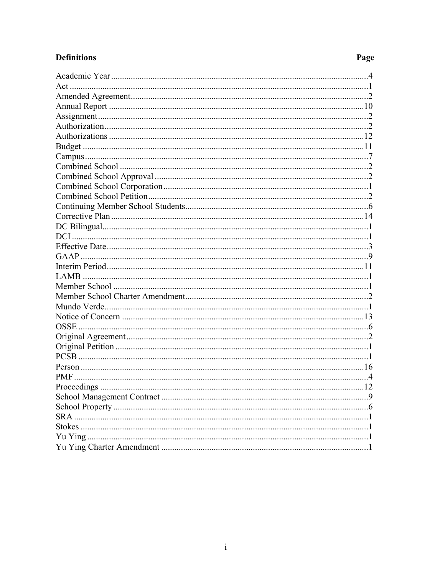# **Definitions**

# Page

| $Act$      |     |
|------------|-----|
|            |     |
|            |     |
|            |     |
|            |     |
|            |     |
|            |     |
|            |     |
|            |     |
|            |     |
|            |     |
|            |     |
|            |     |
|            |     |
|            |     |
|            |     |
|            |     |
|            |     |
|            |     |
|            |     |
|            |     |
|            |     |
|            |     |
|            |     |
|            |     |
|            |     |
|            |     |
|            |     |
|            |     |
|            |     |
|            | .12 |
|            | 9   |
|            | 6   |
| <b>SRA</b> |     |
|            |     |
|            |     |
|            |     |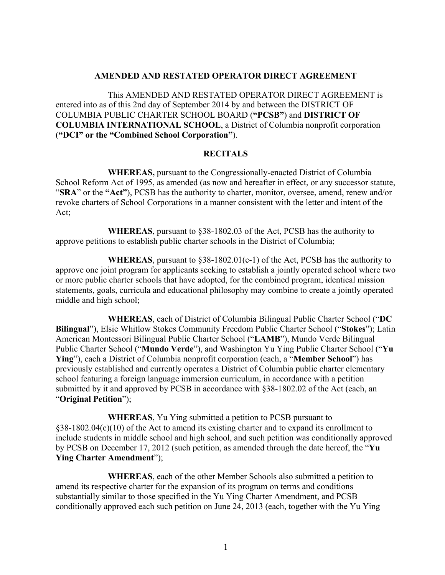#### **AMENDED AND RESTATED OPERATOR DIRECT AGREEMENT**

This AMENDED AND RESTATED OPERATOR DIRECT AGREEMENT is entered into as of this 2nd day of September 2014 by and between the DISTRICT OF COLUMBIA PUBLIC CHARTER SCHOOL BOARD (**"PCSB"**) and **DISTRICT OF COLUMBIA INTERNATIONAL SCHOOL**, a District of Columbia nonprofit corporation (**"DCI" or the "Combined School Corporation"**).

#### **RECITALS**

**WHEREAS,** pursuant to the Congressionally-enacted District of Columbia School Reform Act of 1995, as amended (as now and hereafter in effect, or any successor statute, "**SRA**" or the **"Act"**), PCSB has the authority to charter, monitor, oversee, amend, renew and/or revoke charters of School Corporations in a manner consistent with the letter and intent of the Act;

**WHEREAS**, pursuant to §38-1802.03 of the Act, PCSB has the authority to approve petitions to establish public charter schools in the District of Columbia;

**WHEREAS**, pursuant to §38-1802.01(c-1) of the Act, PCSB has the authority to approve one joint program for applicants seeking to establish a jointly operated school where two or more public charter schools that have adopted, for the combined program, identical mission statements, goals, curricula and educational philosophy may combine to create a jointly operated middle and high school;

**WHEREAS**, each of District of Columbia Bilingual Public Charter School ("**DC Bilingual**"), Elsie Whitlow Stokes Community Freedom Public Charter School ("**Stokes**"); Latin American Montessori Bilingual Public Charter School ("**LAMB**"), Mundo Verde Bilingual Public Charter School ("**Mundo Verde**"), and Washington Yu Ying Public Charter School ("**Yu Ying**"), each a District of Columbia nonprofit corporation (each, a "**Member School**") has previously established and currently operates a District of Columbia public charter elementary school featuring a foreign language immersion curriculum, in accordance with a petition submitted by it and approved by PCSB in accordance with §38-1802.02 of the Act (each, an "**Original Petition**");

**WHEREAS**, Yu Ying submitted a petition to PCSB pursuant to §38-1802.04(c)(10) of the Act to amend its existing charter and to expand its enrollment to include students in middle school and high school, and such petition was conditionally approved by PCSB on December 17, 2012 (such petition, as amended through the date hereof, the "**Yu Ying Charter Amendment**");

**WHEREAS**, each of the other Member Schools also submitted a petition to amend its respective charter for the expansion of its program on terms and conditions substantially similar to those specified in the Yu Ying Charter Amendment, and PCSB conditionally approved each such petition on June 24, 2013 (each, together with the Yu Ying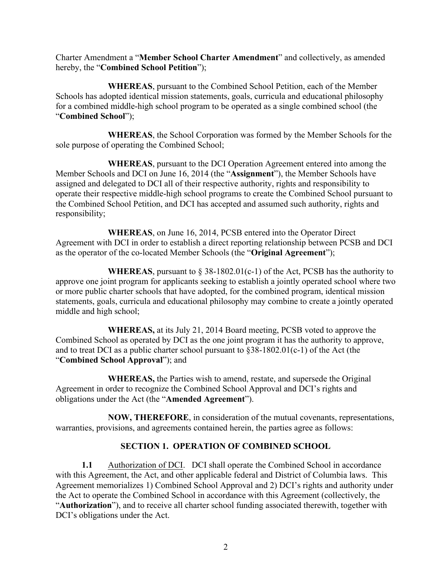Charter Amendment a "**Member School Charter Amendment**" and collectively, as amended hereby, the "**Combined School Petition**");

**WHEREAS**, pursuant to the Combined School Petition, each of the Member Schools has adopted identical mission statements, goals, curricula and educational philosophy for a combined middle-high school program to be operated as a single combined school (the "**Combined School**");

**WHEREAS**, the School Corporation was formed by the Member Schools for the sole purpose of operating the Combined School;

**WHEREAS**, pursuant to the DCI Operation Agreement entered into among the Member Schools and DCI on June 16, 2014 (the "**Assignment**"), the Member Schools have assigned and delegated to DCI all of their respective authority, rights and responsibility to operate their respective middle-high school programs to create the Combined School pursuant to the Combined School Petition, and DCI has accepted and assumed such authority, rights and responsibility;

**WHEREAS**, on June 16, 2014, PCSB entered into the Operator Direct Agreement with DCI in order to establish a direct reporting relationship between PCSB and DCI as the operator of the co-located Member Schools (the "**Original Agreement**");

**WHEREAS**, pursuant to  $\S$  38-1802.01(c-1) of the Act, PCSB has the authority to approve one joint program for applicants seeking to establish a jointly operated school where two or more public charter schools that have adopted, for the combined program, identical mission statements, goals, curricula and educational philosophy may combine to create a jointly operated middle and high school;

**WHEREAS,** at its July 21, 2014 Board meeting, PCSB voted to approve the Combined School as operated by DCI as the one joint program it has the authority to approve, and to treat DCI as a public charter school pursuant to §38-1802.01(c-1) of the Act (the "**Combined School Approval**"); and

**WHEREAS,** the Parties wish to amend, restate, and supersede the Original Agreement in order to recognize the Combined School Approval and DCI's rights and obligations under the Act (the "**Amended Agreement**").

**NOW, THEREFORE**, in consideration of the mutual covenants, representations, warranties, provisions, and agreements contained herein, the parties agree as follows:

#### **SECTION 1. OPERATION OF COMBINED SCHOOL**

**1.1** Authorization of DCI. DCI shall operate the Combined School in accordance with this Agreement, the Act, and other applicable federal and District of Columbia laws. This Agreement memorializes 1) Combined School Approval and 2) DCI's rights and authority under the Act to operate the Combined School in accordance with this Agreement (collectively, the "**Authorization**"), and to receive all charter school funding associated therewith, together with DCI's obligations under the Act.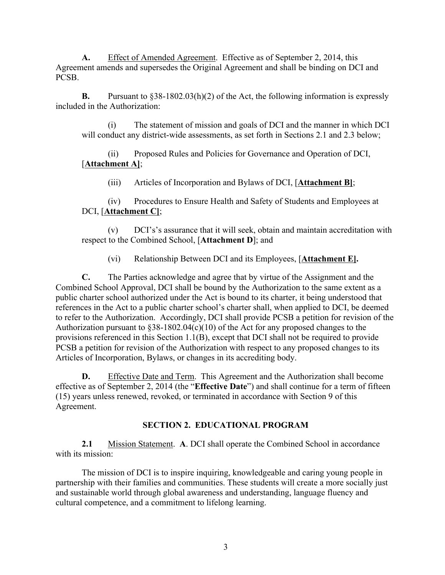**A.** Effect of Amended Agreement. Effective as of September 2, 2014, this Agreement amends and supersedes the Original Agreement and shall be binding on DCI and PCSB.

**B.** Pursuant to §38-1802.03(h)(2) of the Act, the following information is expressly included in the Authorization:

(i) The statement of mission and goals of DCI and the manner in which DCI will conduct any district-wide assessments, as set forth in Sections 2.1 and 2.3 below;

(ii) Proposed Rules and Policies for Governance and Operation of DCI, [**Attachment A]**;

(iii) Articles of Incorporation and Bylaws of DCI, [**Attachment B]**;

(iv) Procedures to Ensure Health and Safety of Students and Employees at DCI, [**Attachment C]**;

(v) DCI's's assurance that it will seek, obtain and maintain accreditation with respect to the Combined School, [**Attachment D**]; and

(vi) Relationship Between DCI and its Employees, [**Attachment E].**

**C.** The Parties acknowledge and agree that by virtue of the Assignment and the Combined School Approval, DCI shall be bound by the Authorization to the same extent as a public charter school authorized under the Act is bound to its charter, it being understood that references in the Act to a public charter school's charter shall, when applied to DCI, be deemed to refer to the Authorization. Accordingly, DCI shall provide PCSB a petition for revision of the Authorization pursuant to §38-1802.04(c)(10) of the Act for any proposed changes to the provisions referenced in this Section 1.1(B), except that DCI shall not be required to provide PCSB a petition for revision of the Authorization with respect to any proposed changes to its Articles of Incorporation, Bylaws, or changes in its accrediting body.

**D.** Effective Date and Term. This Agreement and the Authorization shall become effective as of September 2, 2014 (the "**Effective Date**") and shall continue for a term of fifteen (15) years unless renewed, revoked, or terminated in accordance with Section 9 of this Agreement.

#### **SECTION 2. EDUCATIONAL PROGRAM**

**2.1** Mission Statement. **A**. DCI shall operate the Combined School in accordance with its mission:

The mission of DCI is to inspire inquiring, knowledgeable and caring young people in partnership with their families and communities. These students will create a more socially just and sustainable world through global awareness and understanding, language fluency and cultural competence, and a commitment to lifelong learning.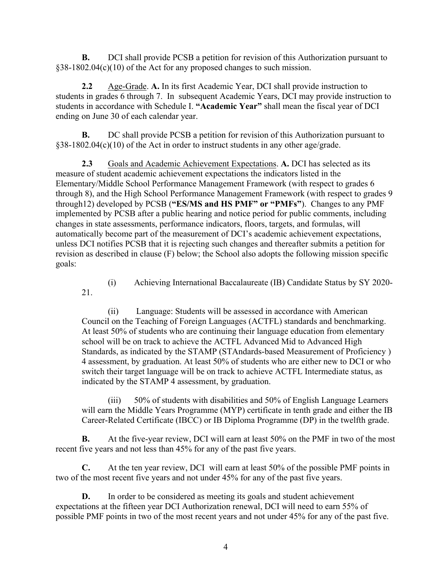**B.** DCI shall provide PCSB a petition for revision of this Authorization pursuant to §38-1802.04(c)(10) of the Act for any proposed changes to such mission.

**2.2** Age-Grade. **A.** In its first Academic Year, DCI shall provide instruction to students in grades 6 through 7. In subsequent Academic Years, DCI may provide instruction to students in accordance with Schedule I. **"Academic Year"** shall mean the fiscal year of DCI ending on June 30 of each calendar year.

**B.** DC shall provide PCSB a petition for revision of this Authorization pursuant to §38-1802.04(c)(10) of the Act in order to instruct students in any other age/grade.

**2.3** Goals and Academic Achievement Expectations. **A.** DCI has selected as its measure of student academic achievement expectations the indicators listed in the Elementary/Middle School Performance Management Framework (with respect to grades 6 through 8), and the High School Performance Management Framework (with respect to grades 9 through12) developed by PCSB (**"ES/MS and HS PMF" or "PMFs"**). Changes to any PMF implemented by PCSB after a public hearing and notice period for public comments, including changes in state assessments, performance indicators, floors, targets, and formulas, will automatically become part of the measurement of DCI's academic achievement expectations, unless DCI notifies PCSB that it is rejecting such changes and thereafter submits a petition for revision as described in clause (F) below; the School also adopts the following mission specific goals:

(i) Achieving International Baccalaureate (IB) Candidate Status by SY 2020- 21.

(ii) Language: Students will be assessed in accordance with American Council on the Teaching of Foreign Languages (ACTFL) standards and benchmarking. At least 50% of students who are continuing their language education from elementary school will be on track to achieve the ACTFL Advanced Mid to Advanced High Standards, as indicated by the STAMP (STAndards-based Measurement of Proficiency ) 4 assessment, by graduation. At least 50% of students who are either new to DCI or who switch their target language will be on track to achieve ACTFL Intermediate status, as indicated by the STAMP 4 assessment, by graduation.

(iii) 50% of students with disabilities and 50% of English Language Learners will earn the Middle Years Programme (MYP) certificate in tenth grade and either the IB Career-Related Certificate (IBCC) or IB Diploma Programme (DP) in the twelfth grade.

**B.** At the five-year review, DCI will earn at least 50% on the PMF in two of the most recent five years and not less than 45% for any of the past five years.

**C.** At the ten year review, DCI will earn at least 50% of the possible PMF points in two of the most recent five years and not under 45% for any of the past five years.

**D.** In order to be considered as meeting its goals and student achievement expectations at the fifteen year DCI Authorization renewal, DCI will need to earn 55% of possible PMF points in two of the most recent years and not under 45% for any of the past five.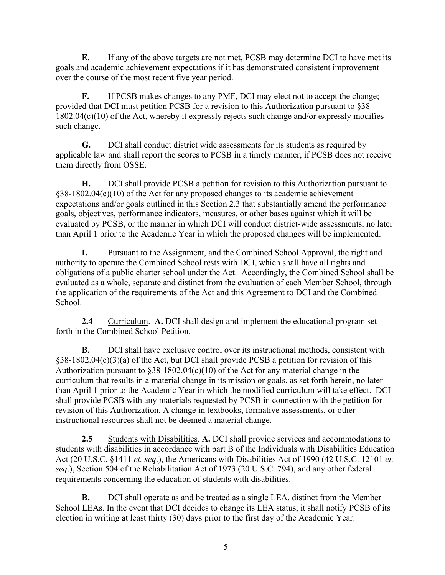**E.** If any of the above targets are not met, PCSB may determine DCI to have met its goals and academic achievement expectations if it has demonstrated consistent improvement over the course of the most recent five year period.

**F.** If PCSB makes changes to any PMF, DCI may elect not to accept the change; provided that DCI must petition PCSB for a revision to this Authorization pursuant to §38- 1802.04(c)(10) of the Act, whereby it expressly rejects such change and/or expressly modifies such change.

**G.** DCI shall conduct district wide assessments for its students as required by applicable law and shall report the scores to PCSB in a timely manner, if PCSB does not receive them directly from OSSE.

**H.** DCI shall provide PCSB a petition for revision to this Authorization pursuant to §38-1802.04(c)(10) of the Act for any proposed changes to its academic achievement expectations and/or goals outlined in this Section 2.3 that substantially amend the performance goals, objectives, performance indicators, measures, or other bases against which it will be evaluated by PCSB, or the manner in which DCI will conduct district-wide assessments, no later than April 1 prior to the Academic Year in which the proposed changes will be implemented.

**I.** Pursuant to the Assignment, and the Combined School Approval, the right and authority to operate the Combined School rests with DCI, which shall have all rights and obligations of a public charter school under the Act. Accordingly, the Combined School shall be evaluated as a whole, separate and distinct from the evaluation of each Member School, through the application of the requirements of the Act and this Agreement to DCI and the Combined School.

**2.4** Curriculum. **A.** DCI shall design and implement the educational program set forth in the Combined School Petition.

**B.** DCI shall have exclusive control over its instructional methods, consistent with §38-1802.04(c)(3)(a) of the Act, but DCI shall provide PCSB a petition for revision of this Authorization pursuant to  $$38-1802.04(c)(10)$  of the Act for any material change in the curriculum that results in a material change in its mission or goals, as set forth herein, no later than April 1 prior to the Academic Year in which the modified curriculum will take effect. DCI shall provide PCSB with any materials requested by PCSB in connection with the petition for revision of this Authorization. A change in textbooks, formative assessments, or other instructional resources shall not be deemed a material change.

**2.5** Students with Disabilities. **A.** DCI shall provide services and accommodations to students with disabilities in accordance with part B of the Individuals with Disabilities Education Act (20 U.S.C. §1411 *et. seq*.), the Americans with Disabilities Act of 1990 (42 U.S.C. 12101 *et. seq*.), Section 504 of the Rehabilitation Act of 1973 (20 U.S.C. 794), and any other federal requirements concerning the education of students with disabilities.

**B.** DCI shall operate as and be treated as a single LEA, distinct from the Member School LEAs. In the event that DCI decides to change its LEA status, it shall notify PCSB of its election in writing at least thirty (30) days prior to the first day of the Academic Year.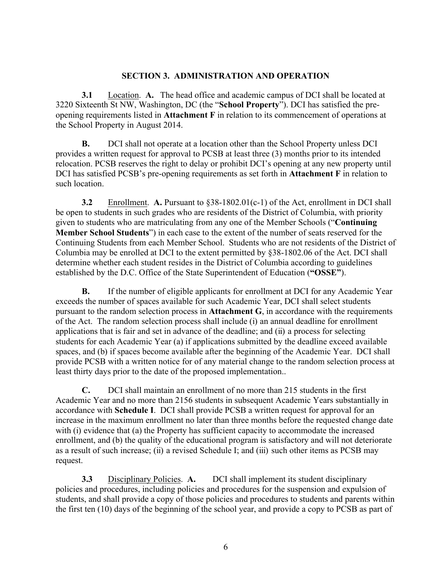#### **SECTION 3. ADMINISTRATION AND OPERATION**

**3.1** Location. **A.** The head office and academic campus of DCI shall be located at 3220 Sixteenth St NW, Washington, DC (the "**School Property**"). DCI has satisfied the preopening requirements listed in **Attachment F** in relation to its commencement of operations at the School Property in August 2014.

**B.** DCI shall not operate at a location other than the School Property unless DCI provides a written request for approval to PCSB at least three (3) months prior to its intended relocation. PCSB reserves the right to delay or prohibit DCI's opening at any new property until DCI has satisfied PCSB's pre-opening requirements as set forth in **Attachment F** in relation to such location.

**3.2** Enrollment. **A.** Pursuant to §38-1802.01(c-1) of the Act, enrollment in DCI shall be open to students in such grades who are residents of the District of Columbia, with priority given to students who are matriculating from any one of the Member Schools ("**Continuing Member School Students**") in each case to the extent of the number of seats reserved for the Continuing Students from each Member School. Students who are not residents of the District of Columbia may be enrolled at DCI to the extent permitted by §38-1802.06 of the Act. DCI shall determine whether each student resides in the District of Columbia according to guidelines established by the D.C. Office of the State Superintendent of Education (**"OSSE"**).

**B.** If the number of eligible applicants for enrollment at DCI for any Academic Year exceeds the number of spaces available for such Academic Year, DCI shall select students pursuant to the random selection process in **Attachment G**, in accordance with the requirements of the Act. The random selection process shall include (i) an annual deadline for enrollment applications that is fair and set in advance of the deadline; and (ii) a process for selecting students for each Academic Year (a) if applications submitted by the deadline exceed available spaces, and (b) if spaces become available after the beginning of the Academic Year. DCI shall provide PCSB with a written notice for of any material change to the random selection process at least thirty days prior to the date of the proposed implementation..

**C.** DCI shall maintain an enrollment of no more than 215 students in the first Academic Year and no more than 2156 students in subsequent Academic Years substantially in accordance with **Schedule I**. DCI shall provide PCSB a written request for approval for an increase in the maximum enrollment no later than three months before the requested change date with (i) evidence that (a) the Property has sufficient capacity to accommodate the increased enrollment, and (b) the quality of the educational program is satisfactory and will not deteriorate as a result of such increase; (ii) a revised Schedule I; and (iii) such other items as PCSB may request.

**3.3** Disciplinary Policies. **A.** DCI shall implement its student disciplinary policies and procedures, including policies and procedures for the suspension and expulsion of students, and shall provide a copy of those policies and procedures to students and parents within the first ten (10) days of the beginning of the school year, and provide a copy to PCSB as part of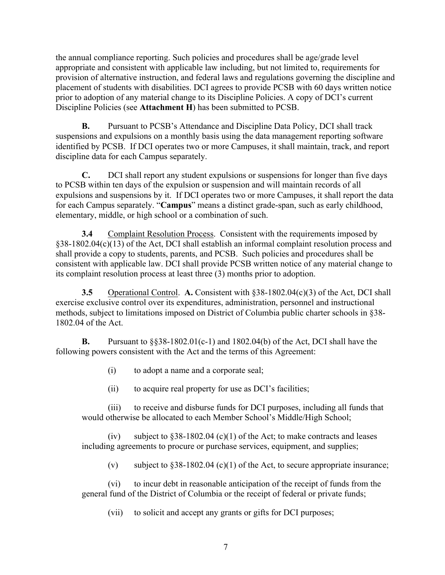the annual compliance reporting. Such policies and procedures shall be age/grade level appropriate and consistent with applicable law including, but not limited to, requirements for provision of alternative instruction, and federal laws and regulations governing the discipline and placement of students with disabilities. DCI agrees to provide PCSB with 60 days written notice prior to adoption of any material change to its Discipline Policies. A copy of DCI's current Discipline Policies (see **Attachment H**) has been submitted to PCSB.

**B.** Pursuant to PCSB's Attendance and Discipline Data Policy, DCI shall track suspensions and expulsions on a monthly basis using the data management reporting software identified by PCSB. If DCI operates two or more Campuses, it shall maintain, track, and report discipline data for each Campus separately.

**C.** DCI shall report any student expulsions or suspensions for longer than five days to PCSB within ten days of the expulsion or suspension and will maintain records of all expulsions and suspensions by it. If DCI operates two or more Campuses, it shall report the data for each Campus separately. "**Campus**" means a distinct grade-span, such as early childhood, elementary, middle, or high school or a combination of such.

**3.4** Complaint Resolution Process. Consistent with the requirements imposed by §38-1802.04(c)(13) of the Act, DCI shall establish an informal complaint resolution process and shall provide a copy to students, parents, and PCSB. Such policies and procedures shall be consistent with applicable law. DCI shall provide PCSB written notice of any material change to its complaint resolution process at least three (3) months prior to adoption.

**3.5** Operational Control. **A.** Consistent with §38-1802.04(c)(3) of the Act, DCI shall exercise exclusive control over its expenditures, administration, personnel and instructional methods, subject to limitations imposed on District of Columbia public charter schools in §38- 1802.04 of the Act.

**B.** Pursuant to  $\S$ §38-1802.01(c-1) and 1802.04(b) of the Act, DCI shall have the following powers consistent with the Act and the terms of this Agreement:

(i) to adopt a name and a corporate seal;

(ii) to acquire real property for use as DCI's facilities;

(iii) to receive and disburse funds for DCI purposes, including all funds that would otherwise be allocated to each Member School's Middle/High School;

(iv) subject to  $§38-1802.04$  (c)(1) of the Act; to make contracts and leases including agreements to procure or purchase services, equipment, and supplies;

(v) subject to  $§38-1802.04$  (c)(1) of the Act, to secure appropriate insurance;

(vi) to incur debt in reasonable anticipation of the receipt of funds from the general fund of the District of Columbia or the receipt of federal or private funds;

(vii) to solicit and accept any grants or gifts for DCI purposes;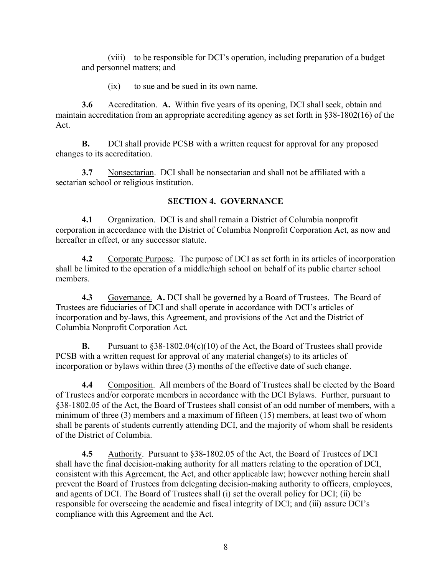(viii) to be responsible for DCI's operation, including preparation of a budget and personnel matters; and

(ix) to sue and be sued in its own name.

**3.6** Accreditation. **A.** Within five years of its opening, DCI shall seek, obtain and maintain accreditation from an appropriate accrediting agency as set forth in §38-1802(16) of the Act.

**B.** DCI shall provide PCSB with a written request for approval for any proposed changes to its accreditation.

**3.7** Nonsectarian. DCI shall be nonsectarian and shall not be affiliated with a sectarian school or religious institution.

#### **SECTION 4. GOVERNANCE**

**4.1** Organization. DCI is and shall remain a District of Columbia nonprofit corporation in accordance with the District of Columbia Nonprofit Corporation Act, as now and hereafter in effect, or any successor statute.

**4.2** Corporate Purpose.The purpose of DCI as set forth in its articles of incorporation shall be limited to the operation of a middle/high school on behalf of its public charter school members.

**4.3** Governance. **A.** DCI shall be governed by a Board of Trustees. The Board of Trustees are fiduciaries of DCI and shall operate in accordance with DCI's articles of incorporation and by-laws, this Agreement, and provisions of the Act and the District of Columbia Nonprofit Corporation Act.

**B.** Pursuant to §38-1802.04(c)(10) of the Act, the Board of Trustees shall provide PCSB with a written request for approval of any material change(s) to its articles of incorporation or bylaws within three (3) months of the effective date of such change.

**4.4** Composition. All members of the Board of Trustees shall be elected by the Board of Trustees and/or corporate members in accordance with the DCI Bylaws. Further, pursuant to §38-1802.05 of the Act, the Board of Trustees shall consist of an odd number of members, with a minimum of three (3) members and a maximum of fifteen (15) members, at least two of whom shall be parents of students currently attending DCI, and the majority of whom shall be residents of the District of Columbia.

**4.5** Authority. Pursuant to §38-1802.05 of the Act, the Board of Trustees of DCI shall have the final decision-making authority for all matters relating to the operation of DCI, consistent with this Agreement, the Act, and other applicable law; however nothing herein shall prevent the Board of Trustees from delegating decision-making authority to officers, employees, and agents of DCI. The Board of Trustees shall (i) set the overall policy for DCI; (ii) be responsible for overseeing the academic and fiscal integrity of DCI; and (iii) assure DCI's compliance with this Agreement and the Act.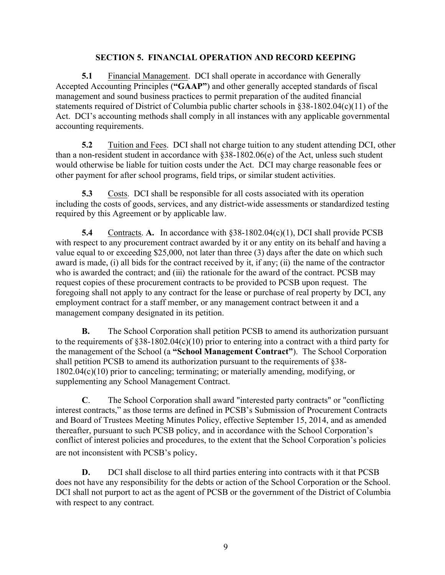#### **SECTION 5. FINANCIAL OPERATION AND RECORD KEEPING**

**5.1** Financial Management. DCI shall operate in accordance with Generally Accepted Accounting Principles (**"GAAP"**) and other generally accepted standards of fiscal management and sound business practices to permit preparation of the audited financial statements required of District of Columbia public charter schools in §38-1802.04(c)(11) of the Act. DCI's accounting methods shall comply in all instances with any applicable governmental accounting requirements.

**5.2** Tuition and Fees. DCI shall not charge tuition to any student attending DCI, other than a non-resident student in accordance with §38-1802.06(e) of the Act, unless such student would otherwise be liable for tuition costs under the Act. DCI may charge reasonable fees or other payment for after school programs, field trips, or similar student activities.

**5.3** Costs. DCI shall be responsible for all costs associated with its operation including the costs of goods, services, and any district-wide assessments or standardized testing required by this Agreement or by applicable law.

**5.4** Contracts. **A.** In accordance with §38-1802.04(c)(1), DCI shall provide PCSB with respect to any procurement contract awarded by it or any entity on its behalf and having a value equal to or exceeding \$25,000, not later than three (3) days after the date on which such award is made, (i) all bids for the contract received by it, if any; (ii) the name of the contractor who is awarded the contract; and (iii) the rationale for the award of the contract. PCSB may request copies of these procurement contracts to be provided to PCSB upon request. The foregoing shall not apply to any contract for the lease or purchase of real property by DCI, any employment contract for a staff member, or any management contract between it and a management company designated in its petition.

**B.** The School Corporation shall petition PCSB to amend its authorization pursuant to the requirements of  $§38-1802.04(c)(10)$  prior to entering into a contract with a third party for the management of the School (a **"School Management Contract"**). The School Corporation shall petition PCSB to amend its authorization pursuant to the requirements of §38- 1802.04(c)(10) prior to canceling; terminating; or materially amending, modifying, or supplementing any School Management Contract.

**C**. The School Corporation shall award "interested party contracts" or "conflicting interest contracts," as those terms are defined in PCSB's Submission of Procurement Contracts and Board of Trustees Meeting Minutes Policy, effective September 15, 2014, and as amended thereafter, pursuant to such PCSB policy, and in accordance with the School Corporation's conflict of interest policies and procedures, to the extent that the School Corporation's policies are not inconsistent with PCSB's policy.

**D.** DCI shall disclose to all third parties entering into contracts with it that PCSB does not have any responsibility for the debts or action of the School Corporation or the School. DCI shall not purport to act as the agent of PCSB or the government of the District of Columbia with respect to any contract.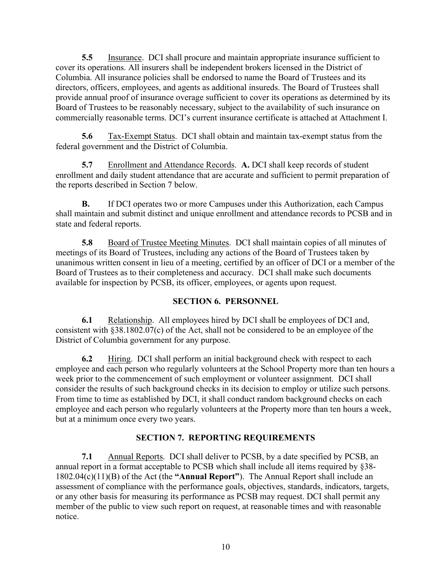**5.5** Insurance. DCI shall procure and maintain appropriate insurance sufficient to cover its operations. All insurers shall be independent brokers licensed in the District of Columbia. All insurance policies shall be endorsed to name the Board of Trustees and its directors, officers, employees, and agents as additional insureds. The Board of Trustees shall provide annual proof of insurance overage sufficient to cover its operations as determined by its Board of Trustees to be reasonably necessary, subject to the availability of such insurance on commercially reasonable terms. DCI's current insurance certificate is attached at Attachment I.

**5.6** Tax-Exempt Status.DCI shall obtain and maintain tax-exempt status from the federal government and the District of Columbia.

**5.7** Enrollment and Attendance Records. **A.** DCI shall keep records of student enrollment and daily student attendance that are accurate and sufficient to permit preparation of the reports described in Section 7 below.

**B.** If DCI operates two or more Campuses under this Authorization, each Campus shall maintain and submit distinct and unique enrollment and attendance records to PCSB and in state and federal reports.

**5.8** Board of Trustee Meeting Minutes. DCI shall maintain copies of all minutes of meetings of its Board of Trustees, including any actions of the Board of Trustees taken by unanimous written consent in lieu of a meeting, certified by an officer of DCI or a member of the Board of Trustees as to their completeness and accuracy. DCI shall make such documents available for inspection by PCSB, its officer, employees, or agents upon request.

#### **SECTION 6. PERSONNEL**

**6.1** Relationship. All employees hired by DCI shall be employees of DCI and, consistent with §38.1802.07(c) of the Act, shall not be considered to be an employee of the District of Columbia government for any purpose.

**6.2** Hiring. DCI shall perform an initial background check with respect to each employee and each person who regularly volunteers at the School Property more than ten hours a week prior to the commencement of such employment or volunteer assignment. DCI shall consider the results of such background checks in its decision to employ or utilize such persons. From time to time as established by DCI, it shall conduct random background checks on each employee and each person who regularly volunteers at the Property more than ten hours a week, but at a minimum once every two years.

## **SECTION 7. REPORTING REQUIREMENTS**

**7.1** Annual Reports. DCI shall deliver to PCSB, by a date specified by PCSB, an annual report in a format acceptable to PCSB which shall include all items required by §38- 1802.04(c)(11)(B) of the Act (the **"Annual Report"**). The Annual Report shall include an assessment of compliance with the performance goals, objectives, standards, indicators, targets, or any other basis for measuring its performance as PCSB may request. DCI shall permit any member of the public to view such report on request, at reasonable times and with reasonable notice.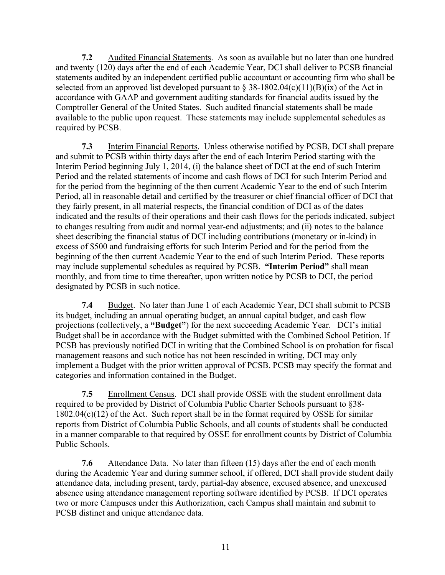**7.2** Audited Financial Statements. As soon as available but no later than one hundred and twenty (120) days after the end of each Academic Year, DCI shall deliver to PCSB financial statements audited by an independent certified public accountant or accounting firm who shall be selected from an approved list developed pursuant to  $\S 38-1802.04(c)(11)(B)(ix)$  of the Act in accordance with GAAP and government auditing standards for financial audits issued by the Comptroller General of the United States. Such audited financial statements shall be made available to the public upon request. These statements may include supplemental schedules as required by PCSB.

**7.3** Interim Financial Reports. Unless otherwise notified by PCSB, DCI shall prepare and submit to PCSB within thirty days after the end of each Interim Period starting with the Interim Period beginning July 1, 2014, (i) the balance sheet of DCI at the end of such Interim Period and the related statements of income and cash flows of DCI for such Interim Period and for the period from the beginning of the then current Academic Year to the end of such Interim Period, all in reasonable detail and certified by the treasurer or chief financial officer of DCI that they fairly present, in all material respects, the financial condition of DCI as of the dates indicated and the results of their operations and their cash flows for the periods indicated, subject to changes resulting from audit and normal year-end adjustments; and (ii) notes to the balance sheet describing the financial status of DCI including contributions (monetary or in-kind) in excess of \$500 and fundraising efforts for such Interim Period and for the period from the beginning of the then current Academic Year to the end of such Interim Period. These reports may include supplemental schedules as required by PCSB. **"Interim Period"** shall mean monthly, and from time to time thereafter, upon written notice by PCSB to DCI, the period designated by PCSB in such notice.

**7.4** Budget. No later than June 1 of each Academic Year, DCI shall submit to PCSB its budget, including an annual operating budget, an annual capital budget, and cash flow projections (collectively, a **"Budget"**) for the next succeeding Academic Year. DCI's initial Budget shall be in accordance with the Budget submitted with the Combined School Petition. If PCSB has previously notified DCI in writing that the Combined School is on probation for fiscal management reasons and such notice has not been rescinded in writing, DCI may only implement a Budget with the prior written approval of PCSB. PCSB may specify the format and categories and information contained in the Budget.

**7.5** Enrollment Census.DCI shall provide OSSE with the student enrollment data required to be provided by District of Columbia Public Charter Schools pursuant to §38-  $1802.04(c)(12)$  of the Act. Such report shall be in the format required by OSSE for similar reports from District of Columbia Public Schools, and all counts of students shall be conducted in a manner comparable to that required by OSSE for enrollment counts by District of Columbia Public Schools.

**7.6** Attendance Data. No later than fifteen (15) days after the end of each month during the Academic Year and during summer school, if offered, DCI shall provide student daily attendance data, including present, tardy, partial-day absence, excused absence, and unexcused absence using attendance management reporting software identified by PCSB. If DCI operates two or more Campuses under this Authorization, each Campus shall maintain and submit to PCSB distinct and unique attendance data.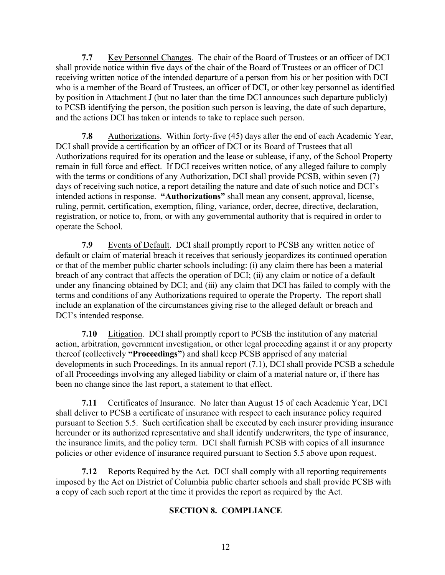**7.7** Key Personnel Changes. The chair of the Board of Trustees or an officer of DCI shall provide notice within five days of the chair of the Board of Trustees or an officer of DCI receiving written notice of the intended departure of a person from his or her position with DCI who is a member of the Board of Trustees, an officer of DCI, or other key personnel as identified by position in Attachment J (but no later than the time DCI announces such departure publicly) to PCSB identifying the person, the position such person is leaving, the date of such departure, and the actions DCI has taken or intends to take to replace such person.

**7.8** Authorizations. Within forty-five (45) days after the end of each Academic Year, DCI shall provide a certification by an officer of DCI or its Board of Trustees that all Authorizations required for its operation and the lease or sublease, if any, of the School Property remain in full force and effect. If DCI receives written notice, of any alleged failure to comply with the terms or conditions of any Authorization, DCI shall provide PCSB, within seven (7) days of receiving such notice, a report detailing the nature and date of such notice and DCI's intended actions in response. **"Authorizations"** shall mean any consent, approval, license, ruling, permit, certification, exemption, filing, variance, order, decree, directive, declaration, registration, or notice to, from, or with any governmental authority that is required in order to operate the School.

**7.9** Events of Default. DCI shall promptly report to PCSB any written notice of default or claim of material breach it receives that seriously jeopardizes its continued operation or that of the member public charter schools including: (i) any claim there has been a material breach of any contract that affects the operation of DCI; (ii) any claim or notice of a default under any financing obtained by DCI; and (iii) any claim that DCI has failed to comply with the terms and conditions of any Authorizations required to operate the Property. The report shall include an explanation of the circumstances giving rise to the alleged default or breach and DCI's intended response.

**7.10** Litigation. DCI shall promptly report to PCSB the institution of any material action, arbitration, government investigation, or other legal proceeding against it or any property thereof (collectively **"Proceedings"**) and shall keep PCSB apprised of any material developments in such Proceedings. In its annual report (7.1), DCI shall provide PCSB a schedule of all Proceedings involving any alleged liability or claim of a material nature or, if there has been no change since the last report, a statement to that effect.

**7.11** Certificates of Insurance. No later than August 15 of each Academic Year, DCI shall deliver to PCSB a certificate of insurance with respect to each insurance policy required pursuant to Section 5.5. Such certification shall be executed by each insurer providing insurance hereunder or its authorized representative and shall identify underwriters, the type of insurance, the insurance limits, and the policy term. DCI shall furnish PCSB with copies of all insurance policies or other evidence of insurance required pursuant to Section 5.5 above upon request.

**7.12** Reports Required by the Act. DCI shall comply with all reporting requirements imposed by the Act on District of Columbia public charter schools and shall provide PCSB with a copy of each such report at the time it provides the report as required by the Act.

#### **SECTION 8. COMPLIANCE**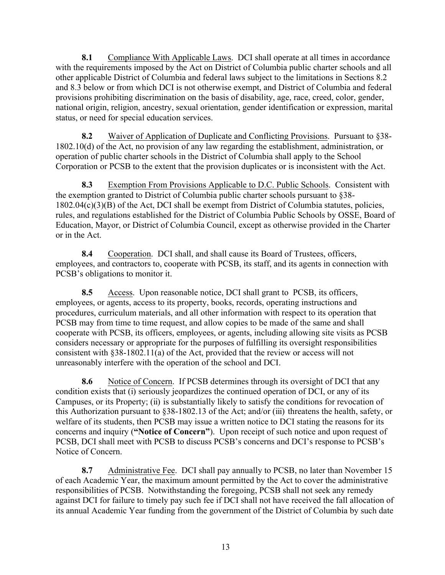**8.1** Compliance With Applicable Laws. DCI shall operate at all times in accordance with the requirements imposed by the Act on District of Columbia public charter schools and all other applicable District of Columbia and federal laws subject to the limitations in Sections 8.2 and 8.3 below or from which DCI is not otherwise exempt, and District of Columbia and federal provisions prohibiting discrimination on the basis of disability, age, race, creed, color, gender, national origin, religion, ancestry, sexual orientation, gender identification or expression, marital status, or need for special education services.

**8.2** Waiver of Application of Duplicate and Conflicting Provisions. Pursuant to §38- 1802.10(d) of the Act, no provision of any law regarding the establishment, administration, or operation of public charter schools in the District of Columbia shall apply to the School Corporation or PCSB to the extent that the provision duplicates or is inconsistent with the Act.

**8.3** Exemption From Provisions Applicable to D.C. Public Schools. Consistent with the exemption granted to District of Columbia public charter schools pursuant to §38-  $1802.04(c)(3)(B)$  of the Act, DCI shall be exempt from District of Columbia statutes, policies, rules, and regulations established for the District of Columbia Public Schools by OSSE, Board of Education, Mayor, or District of Columbia Council, except as otherwise provided in the Charter or in the Act.

**8.4** Cooperation. DCI shall, and shall cause its Board of Trustees, officers, employees, and contractors to, cooperate with PCSB, its staff, and its agents in connection with PCSB's obligations to monitor it.

**8.5** Access. Upon reasonable notice, DCI shall grant to PCSB, its officers, employees, or agents, access to its property, books, records, operating instructions and procedures, curriculum materials, and all other information with respect to its operation that PCSB may from time to time request, and allow copies to be made of the same and shall cooperate with PCSB, its officers, employees, or agents, including allowing site visits as PCSB considers necessary or appropriate for the purposes of fulfilling its oversight responsibilities consistent with §38-1802.11(a) of the Act, provided that the review or access will not unreasonably interfere with the operation of the school and DCI.

**8.6** Notice of Concern.If PCSB determines through its oversight of DCI that any condition exists that (i) seriously jeopardizes the continued operation of DCI, or any of its Campuses, or its Property; (ii) is substantially likely to satisfy the conditions for revocation of this Authorization pursuant to §38-1802.13 of the Act; and/or (iii) threatens the health, safety, or welfare of its students, then PCSB may issue a written notice to DCI stating the reasons for its concerns and inquiry (**"Notice of Concern"**). Upon receipt of such notice and upon request of PCSB, DCI shall meet with PCSB to discuss PCSB's concerns and DCI's response to PCSB's Notice of Concern.

**8.7** Administrative Fee. DCI shall pay annually to PCSB, no later than November 15 of each Academic Year, the maximum amount permitted by the Act to cover the administrative responsibilities of PCSB. Notwithstanding the foregoing, PCSB shall not seek any remedy against DCI for failure to timely pay such fee if DCI shall not have received the fall allocation of its annual Academic Year funding from the government of the District of Columbia by such date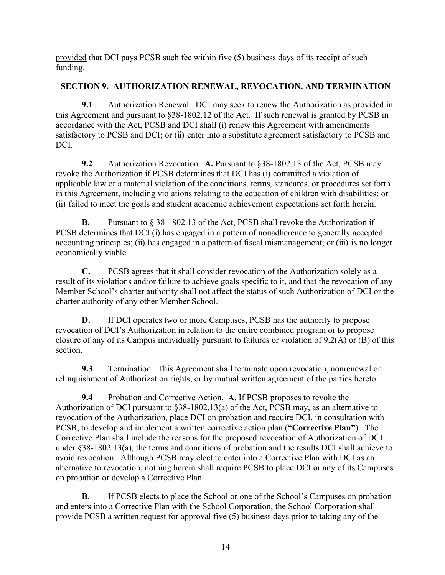provided that DCI pays PCSB such fee within five (5) business days of its receipt of such funding.

# **SECTION 9. AUTHORIZATION RENEWAL, REVOCATION, AND TERMINATION**

**9.1** Authorization Renewal. DCI may seek to renew the Authorization as provided in this Agreement and pursuant to §38-1802.12 of the Act. If such renewal is granted by PCSB in accordance with the Act, PCSB and DCI shall (i) renew this Agreement with amendments satisfactory to PCSB and DCI; or (ii) enter into a substitute agreement satisfactory to PCSB and DCI.

**9.2** Authorization Revocation. **A.** Pursuant to §38-1802.13 of the Act, PCSB may revoke the Authorization if PCSB determines that DCI has (i) committed a violation of applicable law or a material violation of the conditions, terms, standards, or procedures set forth in this Agreement, including violations relating to the education of children with disabilities; or (ii) failed to meet the goals and student academic achievement expectations set forth herein.

**B.** Pursuant to § 38-1802.13 of the Act, PCSB shall revoke the Authorization if PCSB determines that DCI (i) has engaged in a pattern of nonadherence to generally accepted accounting principles; (ii) has engaged in a pattern of fiscal mismanagement; or (iii) is no longer economically viable.

**C.** PCSB agrees that it shall consider revocation of the Authorization solely as a result of its violations and/or failure to achieve goals specific to it, and that the revocation of any Member School's charter authority shall not affect the status of such Authorization of DCI or the charter authority of any other Member School.

**D.** If DCI operates two or more Campuses, PCSB has the authority to propose revocation of DCI's Authorization in relation to the entire combined program or to propose closure of any of its Campus individually pursuant to failures or violation of 9.2(A) or (B) of this section.

**9.3** Termination. This Agreement shall terminate upon revocation, nonrenewal or relinquishment of Authorization rights, or by mutual written agreement of the parties hereto.

**9.4** Probation and Corrective Action. **A**. If PCSB proposes to revoke the Authorization of DCI pursuant to §38-1802.13(a) of the Act, PCSB may, as an alternative to revocation of the Authorization, place DCI on probation and require DCI, in consultation with PCSB, to develop and implement a written corrective action plan (**"Corrective Plan"**). The Corrective Plan shall include the reasons for the proposed revocation of Authorization of DCI under §38-1802.13(a), the terms and conditions of probation and the results DCI shall achieve to avoid revocation. Although PCSB may elect to enter into a Corrective Plan with DCI as an alternative to revocation, nothing herein shall require PCSB to place DCI or any of its Campuses on probation or develop a Corrective Plan.

**B**. If PCSB elects to place the School or one of the School's Campuses on probation and enters into a Corrective Plan with the School Corporation, the School Corporation shall provide PCSB a written request for approval five (5) business days prior to taking any of the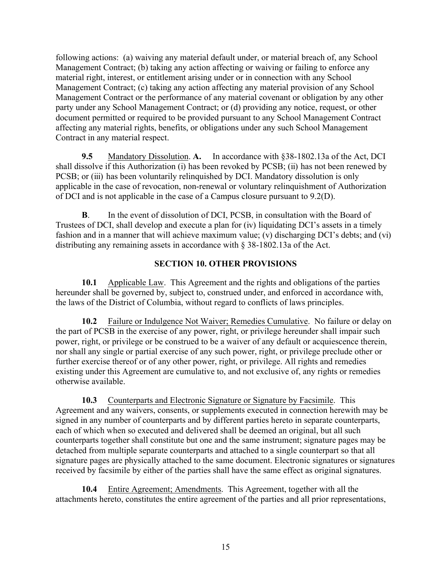following actions: (a) waiving any material default under, or material breach of, any School Management Contract; (b) taking any action affecting or waiving or failing to enforce any material right, interest, or entitlement arising under or in connection with any School Management Contract; (c) taking any action affecting any material provision of any School Management Contract or the performance of any material covenant or obligation by any other party under any School Management Contract; or (d) providing any notice, request, or other document permitted or required to be provided pursuant to any School Management Contract affecting any material rights, benefits, or obligations under any such School Management Contract in any material respect.

**9.5** Mandatory Dissolution. **A.** In accordance with §38-1802.13a of the Act, DCI shall dissolve if this Authorization (i) has been revoked by PCSB; (ii) has not been renewed by PCSB; or (iii) has been voluntarily relinquished by DCI. Mandatory dissolution is only applicable in the case of revocation, non-renewal or voluntary relinquishment of Authorization of DCI and is not applicable in the case of a Campus closure pursuant to 9.2(D).

**B**. In the event of dissolution of DCI, PCSB, in consultation with the Board of Trustees of DCI, shall develop and execute a plan for (iv) liquidating DCI's assets in a timely fashion and in a manner that will achieve maximum value; (v) discharging DCI's debts; and (vi) distributing any remaining assets in accordance with § 38-1802.13a of the Act.

#### **SECTION 10. OTHER PROVISIONS**

**10.1** Applicable Law. This Agreement and the rights and obligations of the parties hereunder shall be governed by, subject to, construed under, and enforced in accordance with, the laws of the District of Columbia, without regard to conflicts of laws principles.

**10.2** Failure or Indulgence Not Waiver; Remedies Cumulative. No failure or delay on the part of PCSB in the exercise of any power, right, or privilege hereunder shall impair such power, right, or privilege or be construed to be a waiver of any default or acquiescence therein, nor shall any single or partial exercise of any such power, right, or privilege preclude other or further exercise thereof or of any other power, right, or privilege. All rights and remedies existing under this Agreement are cumulative to, and not exclusive of, any rights or remedies otherwise available.

**10.3** Counterparts and Electronic Signature or Signature by Facsimile. This Agreement and any waivers, consents, or supplements executed in connection herewith may be signed in any number of counterparts and by different parties hereto in separate counterparts, each of which when so executed and delivered shall be deemed an original, but all such counterparts together shall constitute but one and the same instrument; signature pages may be detached from multiple separate counterparts and attached to a single counterpart so that all signature pages are physically attached to the same document. Electronic signatures or signatures received by facsimile by either of the parties shall have the same effect as original signatures.

**10.4** Entire Agreement; Amendments. This Agreement, together with all the attachments hereto, constitutes the entire agreement of the parties and all prior representations,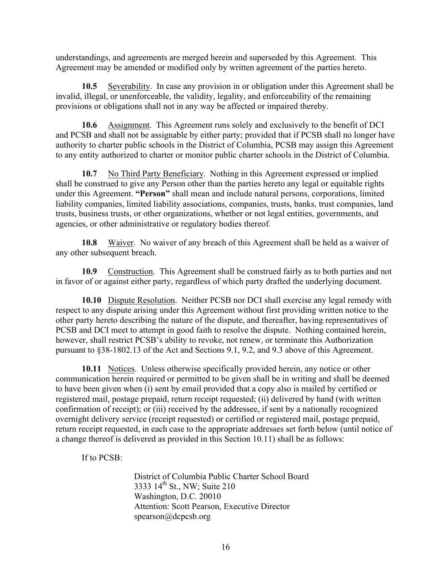understandings, and agreements are merged herein and superseded by this Agreement. This Agreement may be amended or modified only by written agreement of the parties hereto.

**10.5** Severability. In case any provision in or obligation under this Agreement shall be invalid, illegal, or unenforceable, the validity, legality, and enforceability of the remaining provisions or obligations shall not in any way be affected or impaired thereby.

**10.6** Assignment. This Agreement runs solely and exclusively to the benefit of DCI and PCSB and shall not be assignable by either party; provided that if PCSB shall no longer have authority to charter public schools in the District of Columbia, PCSB may assign this Agreement to any entity authorized to charter or monitor public charter schools in the District of Columbia.

**10.7** No Third Party Beneficiary. Nothing in this Agreement expressed or implied shall be construed to give any Person other than the parties hereto any legal or equitable rights under this Agreement. **"Person"** shall mean and include natural persons, corporations, limited liability companies, limited liability associations, companies, trusts, banks, trust companies, land trusts, business trusts, or other organizations, whether or not legal entities, governments, and agencies, or other administrative or regulatory bodies thereof.

**10.8** Waiver. No waiver of any breach of this Agreement shall be held as a waiver of any other subsequent breach.

**10.9** Construction. This Agreement shall be construed fairly as to both parties and not in favor of or against either party, regardless of which party drafted the underlying document.

**10.10** Dispute Resolution. Neither PCSB nor DCI shall exercise any legal remedy with respect to any dispute arising under this Agreement without first providing written notice to the other party hereto describing the nature of the dispute, and thereafter, having representatives of PCSB and DCI meet to attempt in good faith to resolve the dispute. Nothing contained herein, however, shall restrict PCSB's ability to revoke, not renew, or terminate this Authorization pursuant to §38-1802.13 of the Act and Sections 9.1, 9.2, and 9.3 above of this Agreement.

**10.11** Notices. Unless otherwise specifically provided herein, any notice or other communication herein required or permitted to be given shall be in writing and shall be deemed to have been given when (i) sent by email provided that a copy also is mailed by certified or registered mail, postage prepaid, return receipt requested; (ii) delivered by hand (with written confirmation of receipt); or (iii) received by the addressee, if sent by a nationally recognized overnight delivery service (receipt requested) or certified or registered mail, postage prepaid, return receipt requested, in each case to the appropriate addresses set forth below (until notice of a change thereof is delivered as provided in this Section 10.11) shall be as follows:

If to PCSB:

District of Columbia Public Charter School Board 3333 14<sup>th</sup> St., NW; Suite 210 Washington, D.C. 20010 Attention: Scott Pearson, Executive Director spearson@dcpcsb.org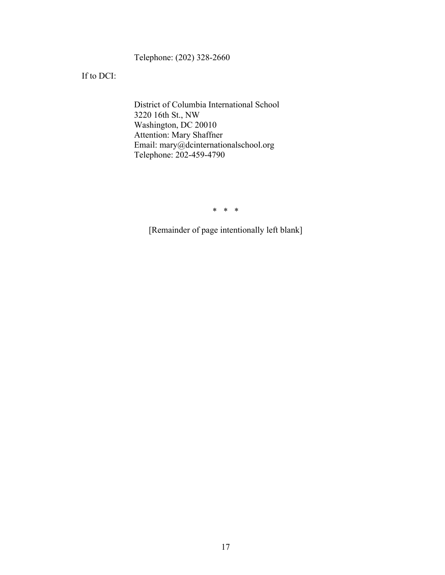Telephone: (202) 328-2660

If to DCI:

District of Columbia International School 3220 16th St., NW Washington, DC 20010 Attention: Mary Shaffner Email: mary@dcinternationalschool.org Telephone: 202-459-4790

\* \* \*

[Remainder of page intentionally left blank]